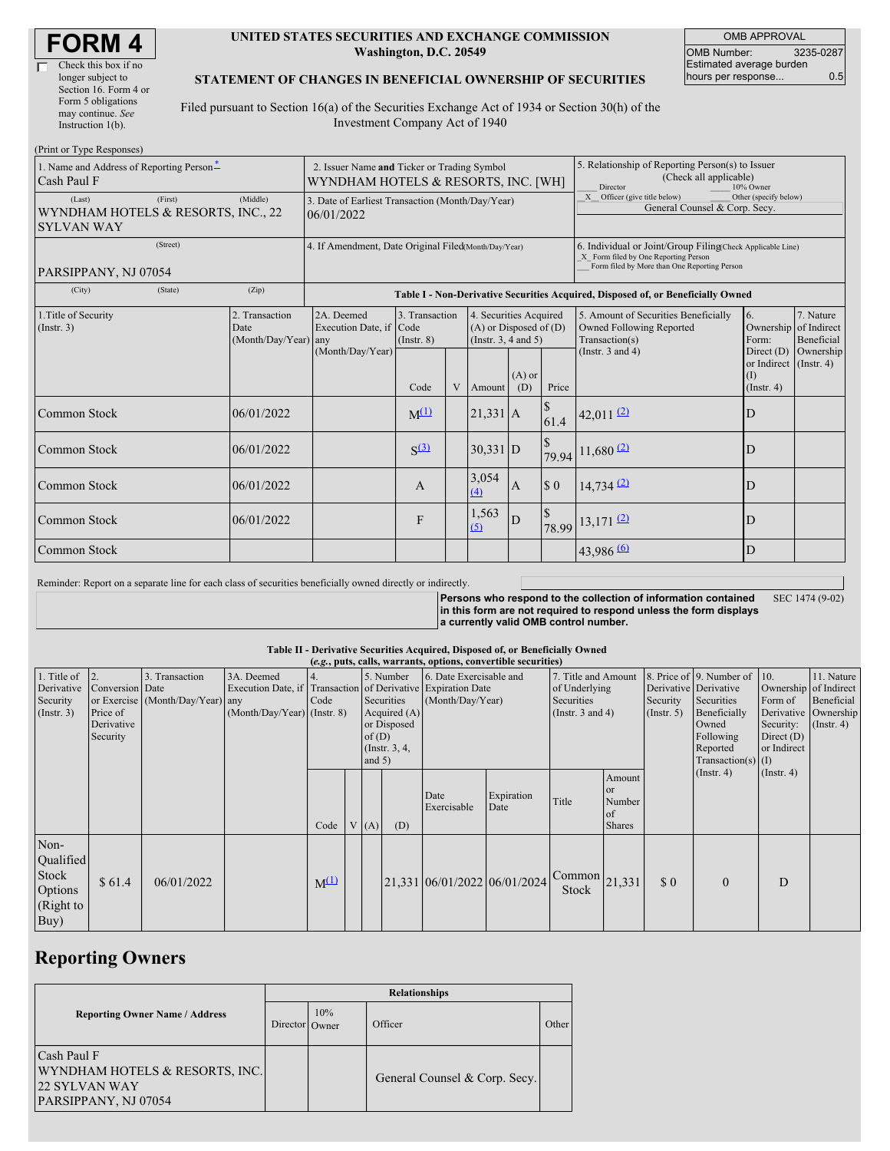#### **UNITED STATES SECURITIES AND EXCHANGE COMMISSION Washington, D.C. 20549**

OMB APPROVAL OMB Number: 3235-0287 Estimated average burden hours per response... 0.5

### **STATEMENT OF CHANGES IN BENEFICIAL OWNERSHIP OF SECURITIES**

Filed pursuant to Section 16(a) of the Securities Exchange Act of 1934 or Section 30(h) of the Investment Company Act of 1940

| (Print or Type Responses)                                                    |                                                                                    |                                                                                  |                                   |  |                                                                                  |                 |                                                                                                     |                                                                                                                                                    |                                                             |                         |  |  |
|------------------------------------------------------------------------------|------------------------------------------------------------------------------------|----------------------------------------------------------------------------------|-----------------------------------|--|----------------------------------------------------------------------------------|-----------------|-----------------------------------------------------------------------------------------------------|----------------------------------------------------------------------------------------------------------------------------------------------------|-------------------------------------------------------------|-------------------------|--|--|
| 1. Name and Address of Reporting Person-<br>Cash Paul F                      | 2. Issuer Name and Ticker or Trading Symbol<br>WYNDHAM HOTELS & RESORTS, INC. [WH] |                                                                                  |                                   |  |                                                                                  |                 | 5. Relationship of Reporting Person(s) to Issuer<br>(Check all applicable)<br>Director<br>10% Owner |                                                                                                                                                    |                                                             |                         |  |  |
| (Last)<br>(First)<br>WYNDHAM HOTELS & RESORTS, INC., 22<br><b>SYLVAN WAY</b> | 3. Date of Earliest Transaction (Month/Day/Year)<br>06/01/2022                     |                                                                                  |                                   |  |                                                                                  |                 | Officer (give title below)<br>X<br>Other (specify below)<br>General Counsel & Corp. Secy.           |                                                                                                                                                    |                                                             |                         |  |  |
| (Street)<br>PARSIPPANY, NJ 07054                                             |                                                                                    | 4. If Amendment, Date Original Filed(Month/Day/Year)                             |                                   |  |                                                                                  |                 |                                                                                                     | 6. Individual or Joint/Group Filing(Check Applicable Line)<br>X Form filed by One Reporting Person<br>Form filed by More than One Reporting Person |                                                             |                         |  |  |
| (City)<br>(State)                                                            | (Zip)                                                                              | Table I - Non-Derivative Securities Acquired, Disposed of, or Beneficially Owned |                                   |  |                                                                                  |                 |                                                                                                     |                                                                                                                                                    |                                                             |                         |  |  |
| 1. Title of Security<br>(Insert. 3)                                          | 2. Transaction<br>Date<br>(Month/Day/Year) any                                     | 2A. Deemed<br>Execution Date, if Code<br>(Month/Day/Year)                        | 3. Transaction<br>$($ Instr. $8)$ |  | 4. Securities Acquired<br>$(A)$ or Disposed of $(D)$<br>(Instr. $3, 4$ and $5$ ) |                 |                                                                                                     | 5. Amount of Securities Beneficially<br>Owned Following Reported<br>Transaction(s)                                                                 | 6.<br>Ownership of Indirect<br>Form:                        | 7. Nature<br>Beneficial |  |  |
|                                                                              |                                                                                    |                                                                                  | Code                              |  | Amount                                                                           | $(A)$ or<br>(D) | Price                                                                                               | (Instr. $3$ and $4$ )                                                                                                                              | Direct $(D)$<br>or Indirect $($ Instr. 4 $)$<br>(Insert. 4) | Ownership               |  |  |
| Common Stock                                                                 | 06/01/2022                                                                         |                                                                                  | $M^{(1)}$                         |  | $21,331$ A                                                                       |                 | 61.4                                                                                                | 42,011 $(2)$                                                                                                                                       | D                                                           |                         |  |  |
| Common Stock                                                                 | 06/01/2022                                                                         |                                                                                  | S <sup>(3)</sup>                  |  | $30,331$ D                                                                       |                 |                                                                                                     | 79.94 11,680 (2)                                                                                                                                   | D                                                           |                         |  |  |
| Common Stock                                                                 | 06/01/2022                                                                         |                                                                                  | A                                 |  | 3,054<br>$\overline{(4)}$                                                        | I A             | $\sqrt{3}0$                                                                                         | $14,734$ <sup>(2)</sup>                                                                                                                            | D                                                           |                         |  |  |
| Common Stock                                                                 | 06/01/2022                                                                         |                                                                                  | F                                 |  | 1,563<br>(5)                                                                     | D               |                                                                                                     | 78.99 13,171 (2)                                                                                                                                   | D                                                           |                         |  |  |
| Common Stock                                                                 |                                                                                    |                                                                                  |                                   |  |                                                                                  |                 |                                                                                                     | $43,986$ <sup>(6)</sup>                                                                                                                            | D                                                           |                         |  |  |

Reminder: Report on a separate line for each class of securities beneficially owned directly or indirectly.

**Persons who respond to the collection of information contained in this form are not required to respond unless the form displays a currently valid OMB control number.** SEC 1474 (9-02)

#### **Table II - Derivative Securities Acquired, Disposed of, or Beneficially Owned**

| (e.g., puts, calls, warrants, options, convertible securities) |                                                       |                                                    |                                             |           |  |                                                                                                                                                                  |     |                                             |                              |                                                                             |                                                          |                         |                                                                                                                                           |                                                                                     |                                                                      |
|----------------------------------------------------------------|-------------------------------------------------------|----------------------------------------------------|---------------------------------------------|-----------|--|------------------------------------------------------------------------------------------------------------------------------------------------------------------|-----|---------------------------------------------|------------------------------|-----------------------------------------------------------------------------|----------------------------------------------------------|-------------------------|-------------------------------------------------------------------------------------------------------------------------------------------|-------------------------------------------------------------------------------------|----------------------------------------------------------------------|
| 1. Title of<br>Derivative<br>Security<br>(Insert. 3)           | Conversion Date<br>Price of<br>Derivative<br>Security | 3. Transaction<br>or Exercise (Month/Day/Year) any | 3A. Deemed<br>$(Month/Day/Year)$ (Instr. 8) | Code      |  | 5. Number<br>Execution Date, if Transaction of Derivative Expiration Date<br>Securities<br>Acquired $(A)$<br>or Disposed<br>of(D)<br>(Instr. $3, 4,$<br>and $5)$ |     | 6. Date Exercisable and<br>(Month/Day/Year) |                              | 7. Title and Amount<br>of Underlying<br>Securities<br>(Instr. $3$ and $4$ ) |                                                          | Security<br>(Insert. 5) | 8. Price of 9. Number of<br>Derivative Derivative<br>Securities<br>Beneficially<br>Owned<br>Following<br>Reported<br>$Transaction(s)$ (I) | 10.<br>Ownership of Indirect<br>Form of<br>Security:<br>Direct $(D)$<br>or Indirect | 11. Nature<br>Beneficial<br>Derivative Ownership<br>$($ Instr. 4 $)$ |
|                                                                |                                                       |                                                    |                                             | Code      |  | V(A)                                                                                                                                                             | (D) | Date<br>Exercisable                         | Expiration<br>Date           | Title                                                                       | Amount<br><sub>or</sub><br>Number<br>of<br><b>Shares</b> |                         | (Insert. 4)<br>(Insert. 4)                                                                                                                |                                                                                     |                                                                      |
| Non-<br>Qualified<br>Stock<br>Options<br>(Right to<br>Buy)     | \$61.4                                                | 06/01/2022                                         |                                             | $M^{(1)}$ |  |                                                                                                                                                                  |     |                                             | 21,331 06/01/2022 06/01/2024 | $\sqrt{ \text{Common} }$ 21,331<br>Stock                                    |                                                          | $\Omega$                | $\mathbf{0}$                                                                                                                              | D                                                                                   |                                                                      |

## **Reporting Owners**

|                                                                                         | <b>Relationships</b> |     |                               |       |  |  |  |  |
|-----------------------------------------------------------------------------------------|----------------------|-----|-------------------------------|-------|--|--|--|--|
| <b>Reporting Owner Name / Address</b>                                                   | Director Owner       | 10% | Officer                       | Other |  |  |  |  |
| Cash Paul F<br>WYNDHAM HOTELS & RESORTS, INC.<br>122 SYLVAN WAY<br>PARSIPPANY, NJ 07054 |                      |     | General Counsel & Corp. Secy. |       |  |  |  |  |